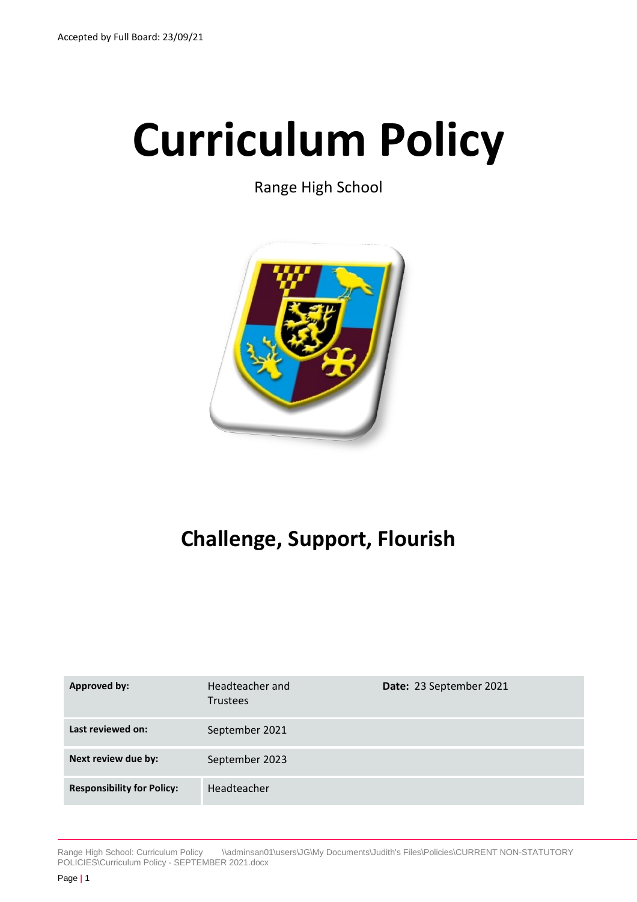# **Curriculum Policy**

Range High School



# **Challenge, Support, Flourish**

| Approved by:                      | Headteacher and<br><b>Trustees</b> | Date: 23 September 2021 |
|-----------------------------------|------------------------------------|-------------------------|
| Last reviewed on:                 | September 2021                     |                         |
| Next review due by:               | September 2023                     |                         |
| <b>Responsibility for Policy:</b> | Headteacher                        |                         |

Range High School: Curriculum Policy \\adminsan01\users\JG\My Documents\Judith's Files\Policies\CURRENT NON-STATUTORY POLICIES\Curriculum Policy - SEPTEMBER 2021.docx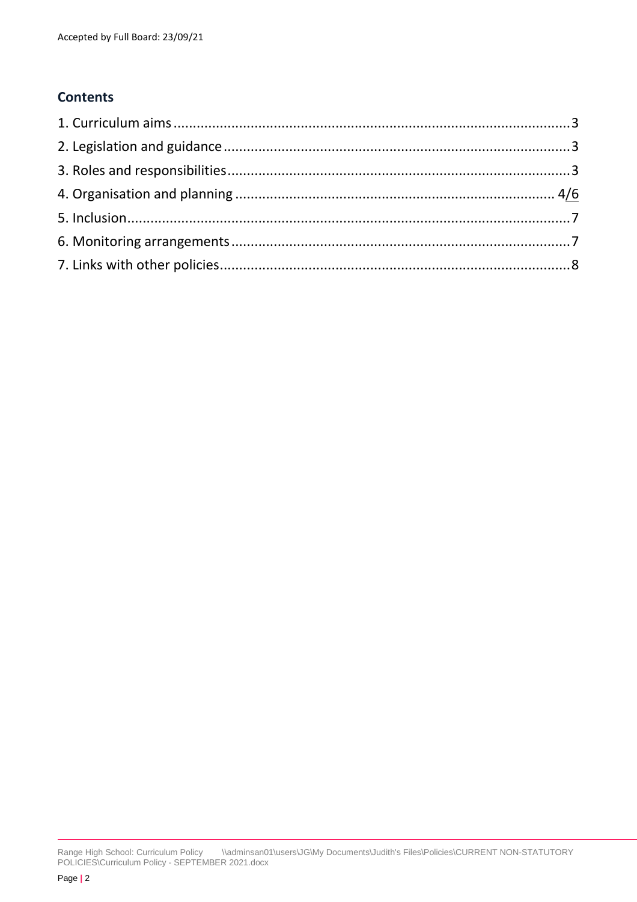# **Contents**

Range High School: Curriculum Policy \\adminsan01\users\JG\My Documents\Judith's Files\Policies\CURRENT NON-STATUTORY POLICIES\Curriculum Policy - SEPTEMBER 2021.docx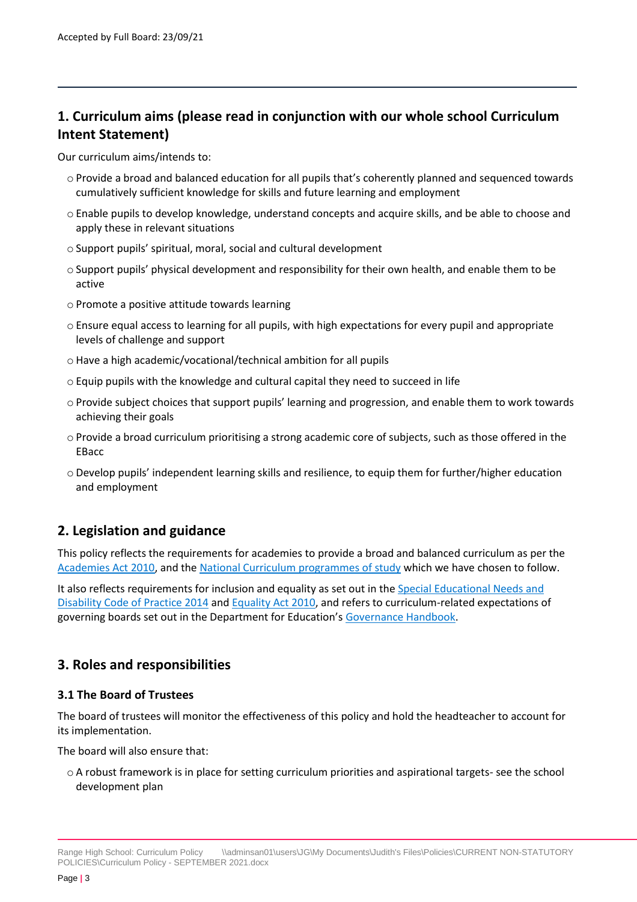# <span id="page-2-0"></span>**1. Curriculum aims (please read in conjunction with our whole school Curriculum Intent Statement)**

Our curriculum aims/intends to:

- o Provide a broad and balanced education for all pupils that's coherently planned and sequenced towards cumulatively sufficient knowledge for skills and future learning and employment
- o Enable pupils to develop knowledge, understand concepts and acquire skills, and be able to choose and apply these in relevant situations
- o Support pupils' spiritual, moral, social and cultural development
- o Support pupils' physical development and responsibility for their own health, and enable them to be active
- o Promote a positive attitude towards learning
- o Ensure equal access to learning for all pupils, with high expectations for every pupil and appropriate levels of challenge and support
- o Have a high academic/vocational/technical ambition for all pupils
- $\circ$  Equip pupils with the knowledge and cultural capital they need to succeed in life
- o Provide subject choices that support pupils' learning and progression, and enable them to work towards achieving their goals
- o Provide a broad curriculum prioritising a strong academic core of subjects, such as those offered in the **EBacc**
- o Develop pupils' independent learning skills and resilience, to equip them for further/higher education and employment

# <span id="page-2-1"></span>**2. Legislation and guidance**

This policy reflects the requirements for academies to provide a broad and balanced curriculum as per the [Academies Act 2010,](http://www.legislation.gov.uk/ukpga/2010/32/section/1A) and the [National Curriculum programmes of study](https://www.gov.uk/government/collections/national-curriculum) which we have chosen to follow.

It also reflects requirements for inclusion and equality as set out in th[e Special Educational Needs and](https://www.gov.uk/government/publications/send-code-of-practice-0-to-25)  [Disability Code of Practice 2014](https://www.gov.uk/government/publications/send-code-of-practice-0-to-25) an[d Equality Act 2010,](http://www.legislation.gov.uk/ukpga/2010/15/part/6/chapter/1) and refers to curriculum-related expectations of governing boards set out in the Department for Education's [Governance Handbook.](https://www.gov.uk/government/publications/governance-handbook)

# <span id="page-2-2"></span>**3. Roles and responsibilities**

#### **3.1 The Board of Trustees**

The board of trustees will monitor the effectiveness of this policy and hold the headteacher to account for its implementation.

The board will also ensure that:

o A robust framework is in place for setting curriculum priorities and aspirational targets- see the school development plan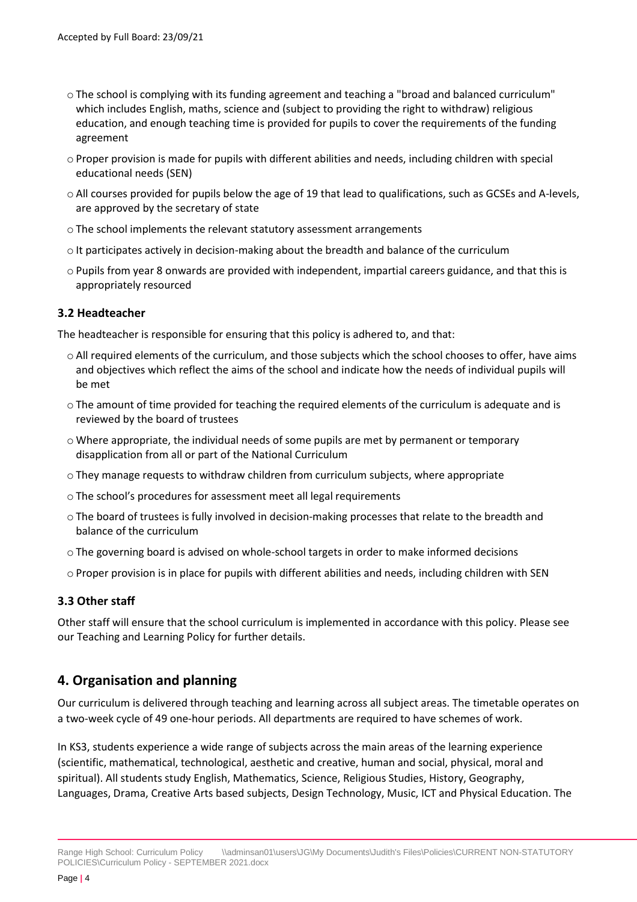- o The school is complying with its funding agreement and teaching a "broad and balanced curriculum" which includes English, maths, science and (subject to providing the right to withdraw) religious education, and enough teaching time is provided for pupils to cover the requirements of the funding agreement
- o Proper provision is made for pupils with different abilities and needs, including children with special educational needs (SEN)
- o All courses provided for pupils below the age of 19 that lead to qualifications, such as GCSEs and A-levels, are approved by the secretary of state
- o The school implements the relevant statutory assessment arrangements
- $\circ$  It participates actively in decision-making about the breadth and balance of the curriculum
- o Pupils from year 8 onwards are provided with independent, impartial careers guidance, and that this is appropriately resourced

#### **3.2 Headteacher**

The headteacher is responsible for ensuring that this policy is adhered to, and that:

- o All required elements of the curriculum, and those subjects which the school chooses to offer, have aims and objectives which reflect the aims of the school and indicate how the needs of individual pupils will be met
- o The amount of time provided for teaching the required elements of the curriculum is adequate and is reviewed by the board of trustees
- o Where appropriate, the individual needs of some pupils are met by permanent or temporary disapplication from all or part of the National Curriculum
- $\circ$  They manage requests to withdraw children from curriculum subjects, where appropriate
- o The school's procedures for assessment meet all legal requirements
- $\circ$  The board of trustees is fully involved in decision-making processes that relate to the breadth and balance of the curriculum
- o The governing board is advised on whole-school targets in order to make informed decisions
- <span id="page-3-0"></span>o Proper provision is in place for pupils with different abilities and needs, including children with SEN

#### **3.3 Other staff**

Other staff will ensure that the school curriculum is implemented in accordance with this policy. Please see our Teaching and Learning Policy for further details.

# **4. Organisation and planning**

Our curriculum is delivered through teaching and learning across all subject areas. The timetable operates on a two-week cycle of 49 one-hour periods. All departments are required to have schemes of work.

In KS3, students experience a wide range of subjects across the main areas of the learning experience (scientific, mathematical, technological, aesthetic and creative, human and social, physical, moral and spiritual). All students study English, Mathematics, Science, Religious Studies, History, Geography, Languages, Drama, Creative Arts based subjects, Design Technology, Music, ICT and Physical Education. The

Range High School: Curriculum Policy \\adminsan01\users\JG\My Documents\Judith's Files\Policies\CURRENT NON-STATUTORY POLICIES\Curriculum Policy - SEPTEMBER 2021.docx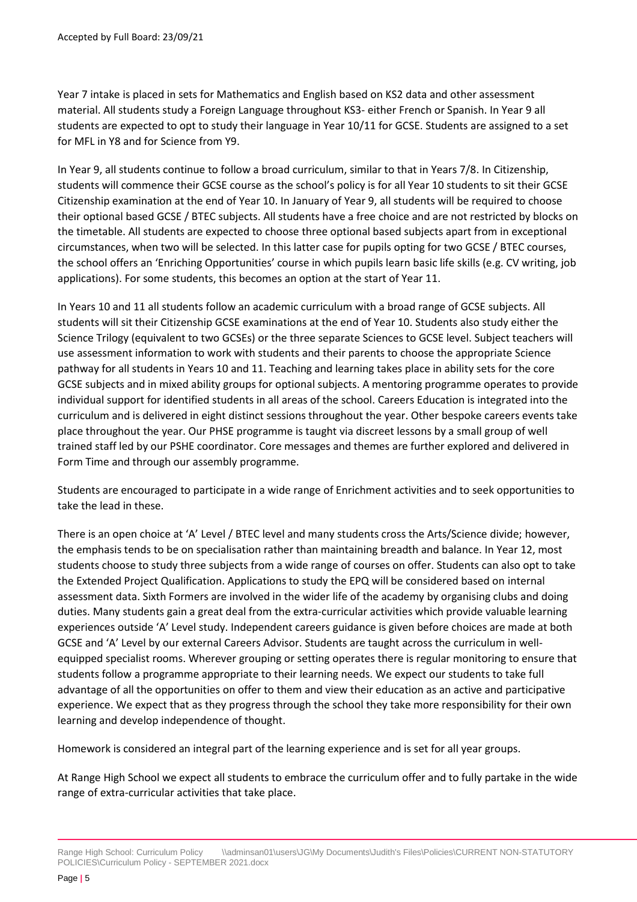Year 7 intake is placed in sets for Mathematics and English based on KS2 data and other assessment material. All students study a Foreign Language throughout KS3- either French or Spanish. In Year 9 all students are expected to opt to study their language in Year 10/11 for GCSE. Students are assigned to a set for MFL in Y8 and for Science from Y9.

In Year 9, all students continue to follow a broad curriculum, similar to that in Years 7/8. In Citizenship, students will commence their GCSE course as the school's policy is for all Year 10 students to sit their GCSE Citizenship examination at the end of Year 10. In January of Year 9, all students will be required to choose their optional based GCSE / BTEC subjects. All students have a free choice and are not restricted by blocks on the timetable. All students are expected to choose three optional based subjects apart from in exceptional circumstances, when two will be selected. In this latter case for pupils opting for two GCSE / BTEC courses, the school offers an 'Enriching Opportunities' course in which pupils learn basic life skills (e.g. CV writing, job applications). For some students, this becomes an option at the start of Year 11.

In Years 10 and 11 all students follow an academic curriculum with a broad range of GCSE subjects. All students will sit their Citizenship GCSE examinations at the end of Year 10. Students also study either the Science Trilogy (equivalent to two GCSEs) or the three separate Sciences to GCSE level. Subject teachers will use assessment information to work with students and their parents to choose the appropriate Science pathway for all students in Years 10 and 11. Teaching and learning takes place in ability sets for the core GCSE subjects and in mixed ability groups for optional subjects. A mentoring programme operates to provide individual support for identified students in all areas of the school. Careers Education is integrated into the curriculum and is delivered in eight distinct sessions throughout the year. Other bespoke careers events take place throughout the year. Our PHSE programme is taught via discreet lessons by a small group of well trained staff led by our PSHE coordinator. Core messages and themes are further explored and delivered in Form Time and through our assembly programme.

Students are encouraged to participate in a wide range of Enrichment activities and to seek opportunities to take the lead in these.

There is an open choice at 'A' Level / BTEC level and many students cross the Arts/Science divide; however, the emphasis tends to be on specialisation rather than maintaining breadth and balance. In Year 12, most students choose to study three subjects from a wide range of courses on offer. Students can also opt to take the Extended Project Qualification. Applications to study the EPQ will be considered based on internal assessment data. Sixth Formers are involved in the wider life of the academy by organising clubs and doing duties. Many students gain a great deal from the extra-curricular activities which provide valuable learning experiences outside 'A' Level study. Independent careers guidance is given before choices are made at both GCSE and 'A' Level by our external Careers Advisor. Students are taught across the curriculum in wellequipped specialist rooms. Wherever grouping or setting operates there is regular monitoring to ensure that students follow a programme appropriate to their learning needs. We expect our students to take full advantage of all the opportunities on offer to them and view their education as an active and participative experience. We expect that as they progress through the school they take more responsibility for their own learning and develop independence of thought.

Homework is considered an integral part of the learning experience and is set for all year groups.

At Range High School we expect all students to embrace the curriculum offer and to fully partake in the wide range of extra-curricular activities that take place.

Range High School: Curriculum Policy \\adminsan01\users\JG\My Documents\Judith's Files\Policies\CURRENT NON-STATUTORY POLICIES\Curriculum Policy - SEPTEMBER 2021.docx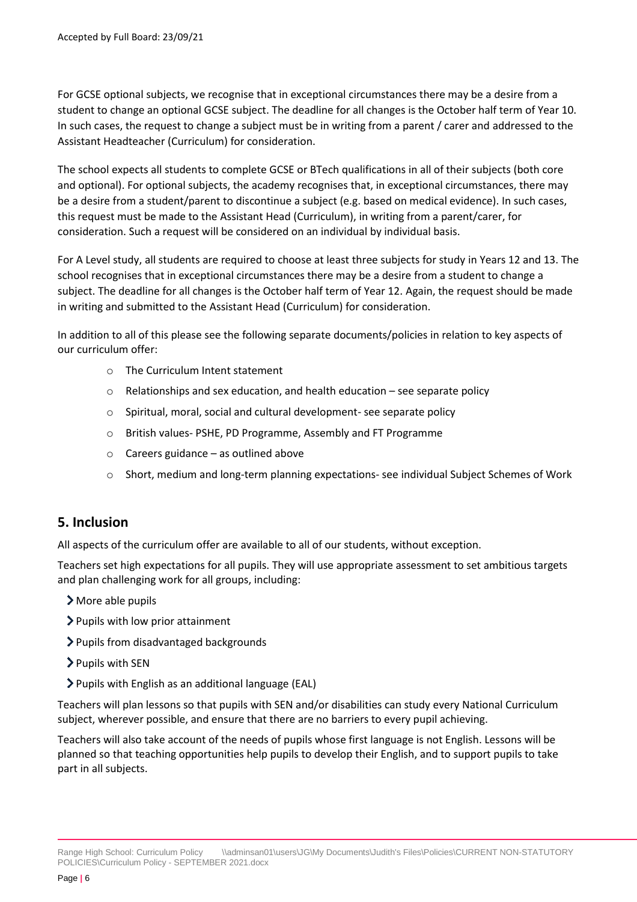For GCSE optional subjects, we recognise that in exceptional circumstances there may be a desire from a student to change an optional GCSE subject. The deadline for all changes is the October half term of Year 10. In such cases, the request to change a subject must be in writing from a parent / carer and addressed to the Assistant Headteacher (Curriculum) for consideration.

The school expects all students to complete GCSE or BTech qualifications in all of their subjects (both core and optional). For optional subjects, the academy recognises that, in exceptional circumstances, there may be a desire from a student/parent to discontinue a subject (e.g. based on medical evidence). In such cases, this request must be made to the Assistant Head (Curriculum), in writing from a parent/carer, for consideration. Such a request will be considered on an individual by individual basis.

For A Level study, all students are required to choose at least three subjects for study in Years 12 and 13. The school recognises that in exceptional circumstances there may be a desire from a student to change a subject. The deadline for all changes is the October half term of Year 12. Again, the request should be made in writing and submitted to the Assistant Head (Curriculum) for consideration.

In addition to all of this please see the following separate documents/policies in relation to key aspects of our curriculum offer:

- o The Curriculum Intent statement
- o Relationships and sex education, and health education see separate policy
- o Spiritual, moral, social and cultural development- see separate policy
- o British values- PSHE, PD Programme, Assembly and FT Programme
- $\circ$  Careers guidance as outlined above
- o Short, medium and long-term planning expectations- see individual Subject Schemes of Work

#### <span id="page-5-0"></span>**5. Inclusion**

All aspects of the curriculum offer are available to all of our students, without exception.

Teachers set high expectations for all pupils. They will use appropriate assessment to set ambitious targets and plan challenging work for all groups, including:

- More able pupils
- Pupils with low prior attainment
- Pupils from disadvantaged backgrounds
- > Pupils with SEN
- Pupils with English as an additional language (EAL)

Teachers will plan lessons so that pupils with SEN and/or disabilities can study every National Curriculum subject, wherever possible, and ensure that there are no barriers to every pupil achieving.

Teachers will also take account of the needs of pupils whose first language is not English. Lessons will be planned so that teaching opportunities help pupils to develop their English, and to support pupils to take part in all subjects.